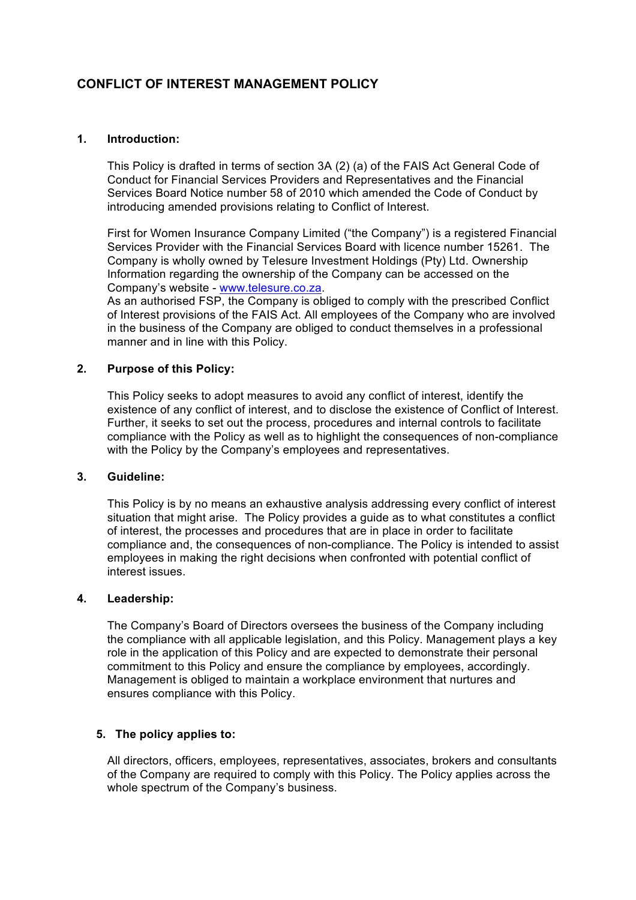# **CONFLICT OF INTEREST MANAGEMENT POLICY**

## **1. Introduction:**

This Policy is drafted in terms of section 3A (2) (a) of the FAIS Act General Code of Conduct for Financial Services Providers and Representatives and the Financial Services Board Notice number 58 of 2010 which amended the Code of Conduct by introducing amended provisions relating to Conflict of Interest.

First for Women Insurance Company Limited ("the Company") is a registered Financial Services Provider with the Financial Services Board with licence number 15261. The Company is wholly owned by Telesure Investment Holdings (Pty) Ltd. Ownership Information regarding the ownership of the Company can be accessed on the Company's website - www.telesure.co.za.

As an authorised FSP, the Company is obliged to comply with the prescribed Conflict of Interest provisions of the FAIS Act. All employees of the Company who are involved in the business of the Company are obliged to conduct themselves in a professional manner and in line with this Policy.

## **2. Purpose of this Policy:**

This Policy seeks to adopt measures to avoid any conflict of interest, identify the existence of any conflict of interest, and to disclose the existence of Conflict of Interest. Further, it seeks to set out the process, procedures and internal controls to facilitate compliance with the Policy as well as to highlight the consequences of non-compliance with the Policy by the Company's employees and representatives.

## **3. Guideline:**

This Policy is by no means an exhaustive analysis addressing every conflict of interest situation that might arise. The Policy provides a guide as to what constitutes a conflict of interest, the processes and procedures that are in place in order to facilitate compliance and, the consequences of non-compliance. The Policy is intended to assist employees in making the right decisions when confronted with potential conflict of interest issues.

### **4. Leadership:**

The Company's Board of Directors oversees the business of the Company including the compliance with all applicable legislation, and this Policy. Management plays a key role in the application of this Policy and are expected to demonstrate their personal commitment to this Policy and ensure the compliance by employees, accordingly. Management is obliged to maintain a workplace environment that nurtures and ensures compliance with this Policy.

# **5. The policy applies to:**

All directors, officers, employees, representatives, associates, brokers and consultants of the Company are required to comply with this Policy. The Policy applies across the whole spectrum of the Company's business.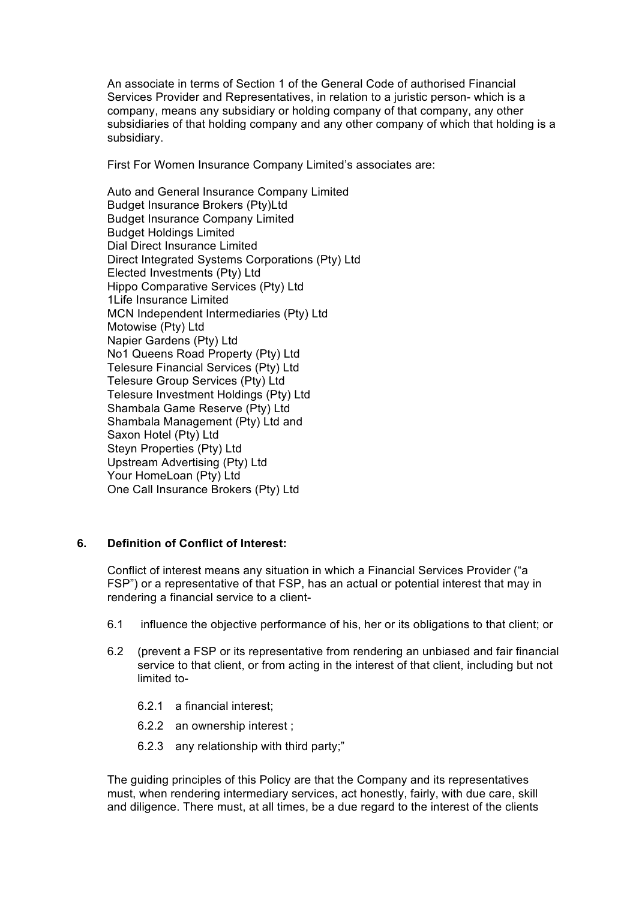An associate in terms of Section 1 of the General Code of authorised Financial Services Provider and Representatives, in relation to a juristic person- which is a company, means any subsidiary or holding company of that company, any other subsidiaries of that holding company and any other company of which that holding is a subsidiary.

First For Women Insurance Company Limited's associates are:

Auto and General Insurance Company Limited Budget Insurance Brokers (Pty)Ltd Budget Insurance Company Limited Budget Holdings Limited Dial Direct Insurance Limited Direct Integrated Systems Corporations (Pty) Ltd Elected Investments (Pty) Ltd Hippo Comparative Services (Pty) Ltd 1Life Insurance Limited MCN Independent Intermediaries (Pty) Ltd Motowise (Pty) Ltd Napier Gardens (Pty) Ltd No1 Queens Road Property (Pty) Ltd Telesure Financial Services (Pty) Ltd Telesure Group Services (Pty) Ltd Telesure Investment Holdings (Pty) Ltd Shambala Game Reserve (Pty) Ltd Shambala Management (Pty) Ltd and Saxon Hotel (Pty) Ltd Steyn Properties (Pty) Ltd Upstream Advertising (Pty) Ltd Your HomeLoan (Pty) Ltd One Call Insurance Brokers (Pty) Ltd

# **6. Definition of Conflict of Interest:**

Conflict of interest means any situation in which a Financial Services Provider ("a FSP") or a representative of that FSP, has an actual or potential interest that may in rendering a financial service to a client-

- 6.1 influence the objective performance of his, her or its obligations to that client; or
- 6.2 (prevent a FSP or its representative from rendering an unbiased and fair financial service to that client, or from acting in the interest of that client, including but not limited to-
	- 6.2.1 a financial interest;
	- 6.2.2 an ownership interest ;
	- 6.2.3 any relationship with third party;"

The guiding principles of this Policy are that the Company and its representatives must, when rendering intermediary services, act honestly, fairly, with due care, skill and diligence. There must, at all times, be a due regard to the interest of the clients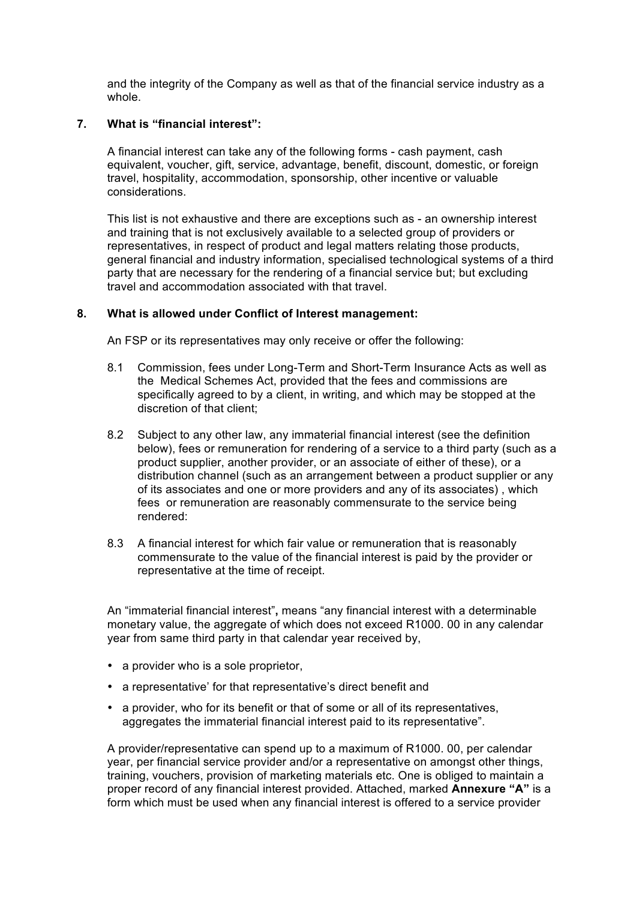and the integrity of the Company as well as that of the financial service industry as a whole.

## **7. What is "financial interest":**

A financial interest can take any of the following forms - cash payment, cash equivalent, voucher, gift, service, advantage, benefit, discount, domestic, or foreign travel, hospitality, accommodation, sponsorship, other incentive or valuable considerations.

This list is not exhaustive and there are exceptions such as - an ownership interest and training that is not exclusively available to a selected group of providers or representatives, in respect of product and legal matters relating those products, general financial and industry information, specialised technological systems of a third party that are necessary for the rendering of a financial service but; but excluding travel and accommodation associated with that travel.

### **8. What is allowed under Conflict of Interest management:**

An FSP or its representatives may only receive or offer the following:

- 8.1 Commission, fees under Long-Term and Short-Term Insurance Acts as well as the Medical Schemes Act, provided that the fees and commissions are specifically agreed to by a client, in writing, and which may be stopped at the discretion of that client;
- 8.2 Subject to any other law, any immaterial financial interest (see the definition below), fees or remuneration for rendering of a service to a third party (such as a product supplier, another provider, or an associate of either of these), or a distribution channel (such as an arrangement between a product supplier or any of its associates and one or more providers and any of its associates) , which fees or remuneration are reasonably commensurate to the service being rendered:
- 8.3 A financial interest for which fair value or remuneration that is reasonably commensurate to the value of the financial interest is paid by the provider or representative at the time of receipt.

An "immaterial financial interest"**,** means "any financial interest with a determinable monetary value, the aggregate of which does not exceed R1000. 00 in any calendar year from same third party in that calendar year received by,

- a provider who is a sole proprietor,
- a representative' for that representative's direct benefit and
- a provider, who for its benefit or that of some or all of its representatives, aggregates the immaterial financial interest paid to its representative".

A provider/representative can spend up to a maximum of R1000. 00, per calendar year, per financial service provider and/or a representative on amongst other things, training, vouchers, provision of marketing materials etc. One is obliged to maintain a proper record of any financial interest provided. Attached, marked **Annexure "A"** is a form which must be used when any financial interest is offered to a service provider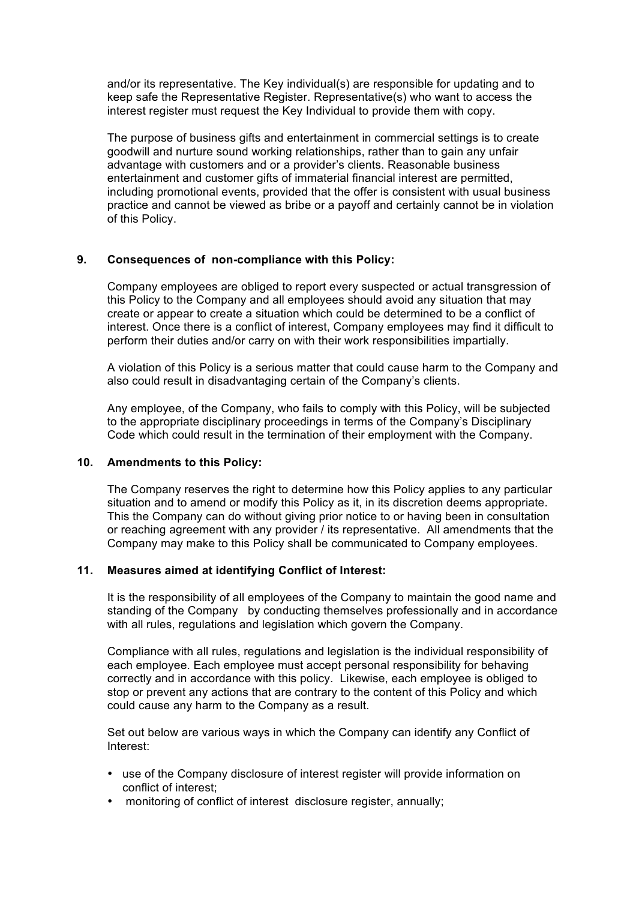and/or its representative. The Key individual(s) are responsible for updating and to keep safe the Representative Register. Representative(s) who want to access the interest register must request the Key Individual to provide them with copy.

The purpose of business gifts and entertainment in commercial settings is to create goodwill and nurture sound working relationships, rather than to gain any unfair advantage with customers and or a provider's clients. Reasonable business entertainment and customer gifts of immaterial financial interest are permitted, including promotional events, provided that the offer is consistent with usual business practice and cannot be viewed as bribe or a payoff and certainly cannot be in violation of this Policy.

# **9. Consequences of non-compliance with this Policy:**

Company employees are obliged to report every suspected or actual transgression of this Policy to the Company and all employees should avoid any situation that may create or appear to create a situation which could be determined to be a conflict of interest. Once there is a conflict of interest, Company employees may find it difficult to perform their duties and/or carry on with their work responsibilities impartially.

A violation of this Policy is a serious matter that could cause harm to the Company and also could result in disadvantaging certain of the Company's clients.

Any employee, of the Company, who fails to comply with this Policy, will be subjected to the appropriate disciplinary proceedings in terms of the Company's Disciplinary Code which could result in the termination of their employment with the Company.

### **10. Amendments to this Policy:**

The Company reserves the right to determine how this Policy applies to any particular situation and to amend or modify this Policy as it, in its discretion deems appropriate. This the Company can do without giving prior notice to or having been in consultation or reaching agreement with any provider / its representative. All amendments that the Company may make to this Policy shall be communicated to Company employees.

### **11. Measures aimed at identifying Conflict of Interest:**

It is the responsibility of all employees of the Company to maintain the good name and standing of the Company by conducting themselves professionally and in accordance with all rules, regulations and legislation which govern the Company.

Compliance with all rules, regulations and legislation is the individual responsibility of each employee. Each employee must accept personal responsibility for behaving correctly and in accordance with this policy. Likewise, each employee is obliged to stop or prevent any actions that are contrary to the content of this Policy and which could cause any harm to the Company as a result.

Set out below are various ways in which the Company can identify any Conflict of Interest:

- use of the Company disclosure of interest register will provide information on conflict of interest;
- monitoring of conflict of interest disclosure register, annually: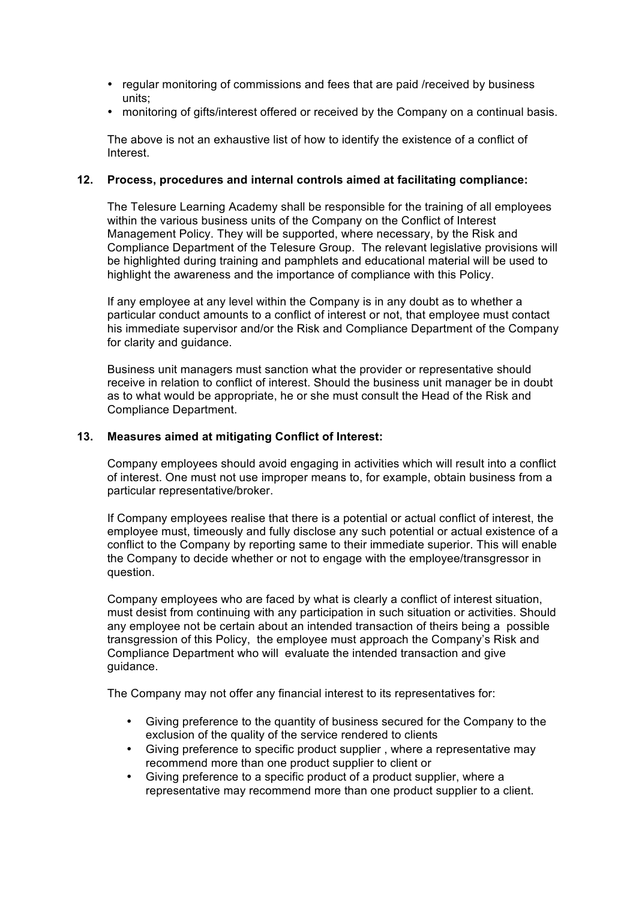- regular monitoring of commissions and fees that are paid /received by business units;
- monitoring of gifts/interest offered or received by the Company on a continual basis.

The above is not an exhaustive list of how to identify the existence of a conflict of Interest.

### **12. Process, procedures and internal controls aimed at facilitating compliance:**

The Telesure Learning Academy shall be responsible for the training of all employees within the various business units of the Company on the Conflict of Interest Management Policy. They will be supported, where necessary, by the Risk and Compliance Department of the Telesure Group. The relevant legislative provisions will be highlighted during training and pamphlets and educational material will be used to highlight the awareness and the importance of compliance with this Policy.

If any employee at any level within the Company is in any doubt as to whether a particular conduct amounts to a conflict of interest or not, that employee must contact his immediate supervisor and/or the Risk and Compliance Department of the Company for clarity and guidance.

Business unit managers must sanction what the provider or representative should receive in relation to conflict of interest. Should the business unit manager be in doubt as to what would be appropriate, he or she must consult the Head of the Risk and Compliance Department.

### **13. Measures aimed at mitigating Conflict of Interest:**

Company employees should avoid engaging in activities which will result into a conflict of interest. One must not use improper means to, for example, obtain business from a particular representative/broker.

If Company employees realise that there is a potential or actual conflict of interest, the employee must, timeously and fully disclose any such potential or actual existence of a conflict to the Company by reporting same to their immediate superior. This will enable the Company to decide whether or not to engage with the employee/transgressor in question.

Company employees who are faced by what is clearly a conflict of interest situation, must desist from continuing with any participation in such situation or activities. Should any employee not be certain about an intended transaction of theirs being a possible transgression of this Policy, the employee must approach the Company's Risk and Compliance Department who will evaluate the intended transaction and give guidance.

The Company may not offer any financial interest to its representatives for:

- Giving preference to the quantity of business secured for the Company to the exclusion of the quality of the service rendered to clients
- Giving preference to specific product supplier , where a representative may recommend more than one product supplier to client or
- Giving preference to a specific product of a product supplier, where a representative may recommend more than one product supplier to a client.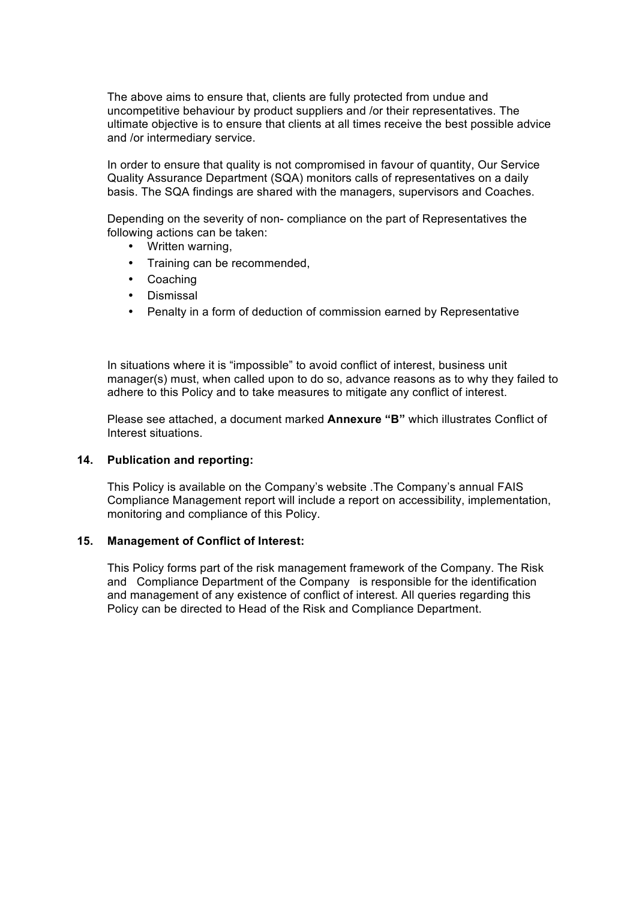The above aims to ensure that, clients are fully protected from undue and uncompetitive behaviour by product suppliers and /or their representatives. The ultimate objective is to ensure that clients at all times receive the best possible advice and /or intermediary service.

In order to ensure that quality is not compromised in favour of quantity, Our Service Quality Assurance Department (SQA) monitors calls of representatives on a daily basis. The SQA findings are shared with the managers, supervisors and Coaches.

Depending on the severity of non- compliance on the part of Representatives the following actions can be taken:

- Written warning,
- Training can be recommended,
- Coaching
- Dismissal
- Penalty in a form of deduction of commission earned by Representative

In situations where it is "impossible" to avoid conflict of interest, business unit manager(s) must, when called upon to do so, advance reasons as to why they failed to adhere to this Policy and to take measures to mitigate any conflict of interest.

Please see attached, a document marked **Annexure "B"** which illustrates Conflict of Interest situations.

### **14. Publication and reporting:**

This Policy is available on the Company's website .The Company's annual FAIS Compliance Management report will include a report on accessibility, implementation, monitoring and compliance of this Policy.

### **15. Management of Conflict of Interest:**

This Policy forms part of the risk management framework of the Company. The Risk and Compliance Department of the Company is responsible for the identification and management of any existence of conflict of interest. All queries regarding this Policy can be directed to Head of the Risk and Compliance Department.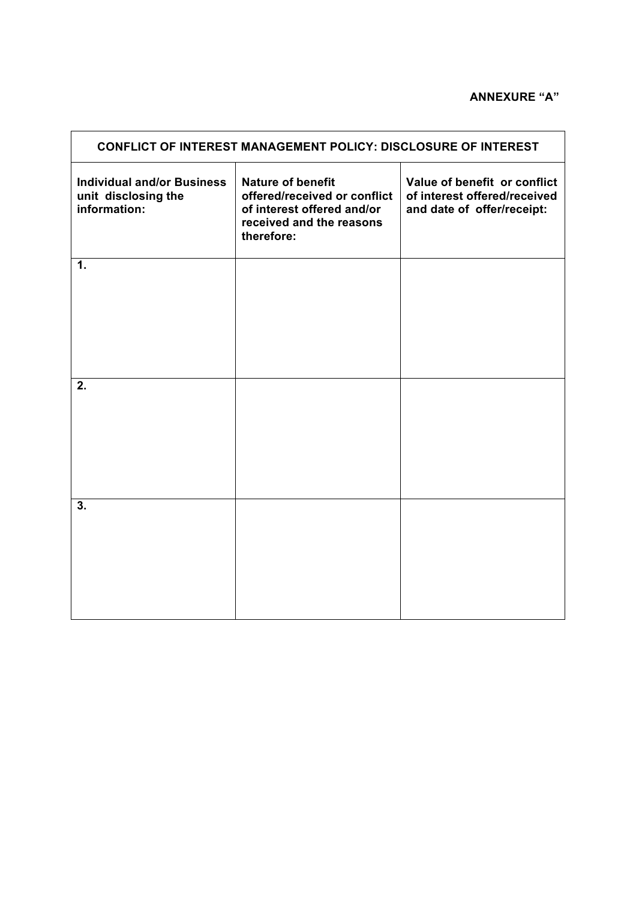# **ANNEXURE "A"**

| <b>CONFLICT OF INTEREST MANAGEMENT POLICY: DISCLOSURE OF INTEREST</b>    |                                                                                                                                  |                                                                                            |
|--------------------------------------------------------------------------|----------------------------------------------------------------------------------------------------------------------------------|--------------------------------------------------------------------------------------------|
| <b>Individual and/or Business</b><br>unit disclosing the<br>information: | <b>Nature of benefit</b><br>offered/received or conflict<br>of interest offered and/or<br>received and the reasons<br>therefore: | Value of benefit or conflict<br>of interest offered/received<br>and date of offer/receipt: |
| 1.                                                                       |                                                                                                                                  |                                                                                            |
| 2.                                                                       |                                                                                                                                  |                                                                                            |
| 3.                                                                       |                                                                                                                                  |                                                                                            |